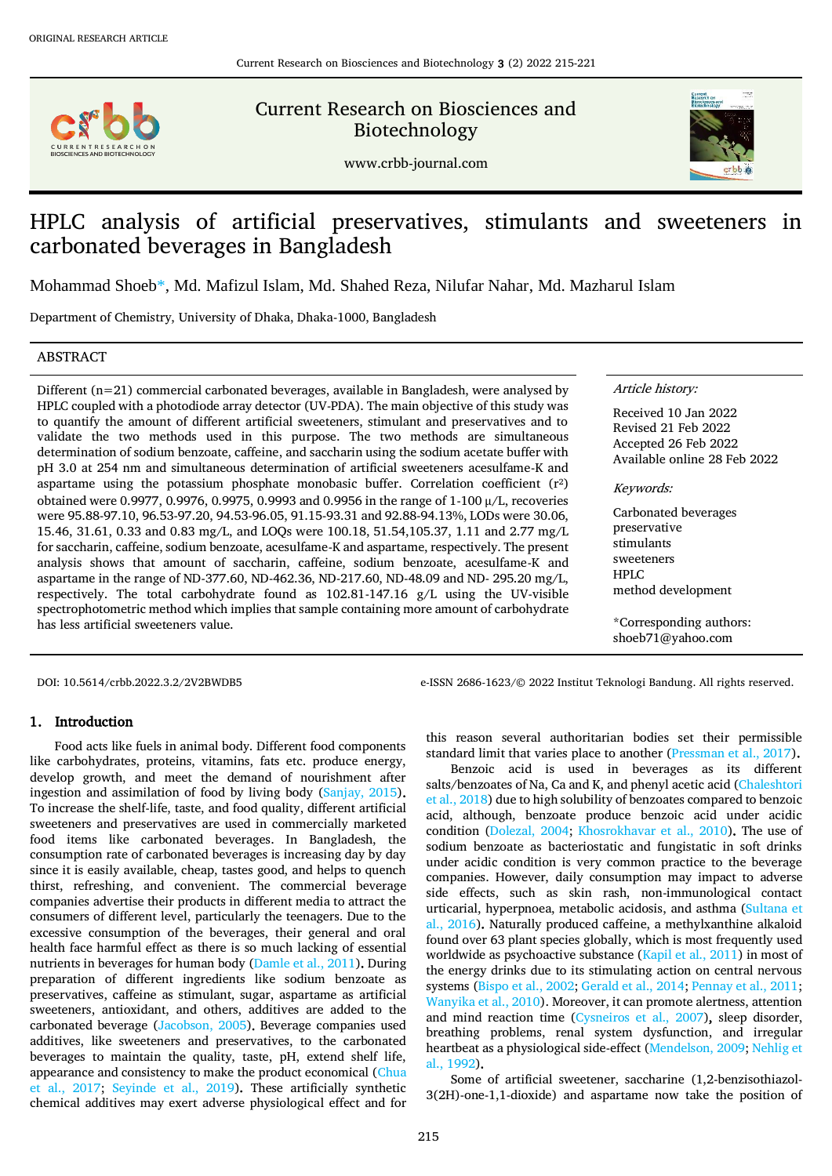

Current Research on Biosciences and Biotechnology



www.crbb-journal.com

# HPLC analysis of artificial preservatives, stimulants and sweeteners in carbonated beverages in Bangladesh

Mohammad Shoe[b\\*,](#page-0-0) Md. Mafizul Islam, Md. Shahed Reza, Nilufar Nahar, Md. Mazharul Islam

Department of Chemistry, University of Dhaka, Dhaka-1000, Bangladesh

## ABSTRACT

Different (n=21) commercial carbonated beverages, available in Bangladesh, were analysed by HPLC coupled with a photodiode array detector (UV-PDA). The main objective of this study was to quantify the amount of different artificial sweeteners, stimulant and preservatives and to validate the two methods used in this purpose. The two methods are simultaneous determination of sodium benzoate, caffeine, and saccharin using the sodium acetate buffer with pH 3.0 at 254 nm and simultaneous determination of artificial sweeteners acesulfame-K and aspartame using the potassium phosphate monobasic buffer. Correlation coefficient  $(r^2)$ obtained were 0.9977, 0.9976, 0.9975, 0.9993 and 0.9956 in the range of 1-100 µ/L, recoveries were 95.88-97.10, 96.53-97.20, 94.53-96.05, 91.15-93.31 and 92.88-94.13%, LODs were 30.06, 15.46, 31.61, 0.33 and 0.83 mg/L, and LOQs were 100.18, 51.54,105.37, 1.11 and 2.77 mg/L for saccharin, caffeine, sodium benzoate, acesulfame-K and aspartame, respectively. The present analysis shows that amount of saccharin, caffeine, sodium benzoate, acesulfame-K and aspartame in the range of ND-377.60, ND-462.36, ND-217.60, ND-48.09 and ND- 295.20 mg/L, respectively. The total carbohydrate found as 102.81-147.16 g/L using the UV-visible spectrophotometric method which implies that sample containing more amount of carbohydrate has less artificial sweeteners value.

#### Article history:

Received 10 Jan 2022 Revised 21 Feb 2022 Accepted 26 Feb 2022 Available online 28 Feb 2022

#### Keywords:

Carbonated beverages preservative stimulants sweeteners HPLC method development

<span id="page-0-0"></span>\*Corresponding authors: shoeb71@yahoo.com

DOI: 10.5614/crbb.2022.3.2/2V2BWDB5 e-ISSN 2686-1623/© 2022 Institut Teknologi Bandung. All rights reserved.

# 1. Introduction

Food acts like fuels in animal body. Different food components like carbohydrates, proteins, vitamins, fats etc. produce energy, develop growth, and meet the demand of nourishment after ingestion and assimilation of food by living body [\(Sanjay, 2015\)](#page-6-0). To increase the shelf-life, taste, and food quality, different artificial sweeteners and preservatives are used in commercially marketed food items like carbonated beverages. In Bangladesh, the consumption rate of carbonated beverages is increasing day by day since it is easily available, cheap, tastes good, and helps to quench thirst, refreshing, and convenient. The commercial beverage companies advertise their products in different media to attract the consumers of different level, particularly the teenagers. Due to the excessive consumption of the beverages, their general and oral health face harmful effect as there is so much lacking of essential nutrients in beverages for human body [\(Damle et al., 2011\)](#page-6-1). During preparation of different ingredients like sodium benzoate as preservatives, caffeine as stimulant, sugar, aspartame as artificial sweeteners, antioxidant, and others, additives are added to the carbonated beverage [\(Jacobson, 2005\)](#page-6-2). Beverage companies used additives, like sweeteners and preservatives, to the carbonated beverages to maintain the quality, taste, pH, extend shelf life, appearance and consistency to make the product economical [\(Chua](#page-6-3)  [et al., 2017;](#page-6-3) [Seyinde et al., 2019\)](#page-6-4). These artificially synthetic chemical additives may exert adverse physiological effect and for this reason several authoritarian bodies set their permissible standard limit that varies place to another [\(Pressman et al., 2017\)](#page-6-5).

Benzoic acid is used in beverages as its different salts/benzoates of Na, Ca and K, and phenyl acetic acid [\(Chaleshtori](#page-6-6)  [et al., 2018\)](#page-6-6) due to high solubility of benzoates compared to benzoic acid, although, benzoate produce benzoic acid under acidic condition [\(Dolezal, 2004;](#page-6-7) [Khosrokhavar et al., 2010\)](#page-6-8). The use of sodium benzoate as bacteriostatic and fungistatic in soft drinks under acidic condition is very common practice to the beverage companies. However, daily consumption may impact to adverse side effects, such as skin rash, non-immunological contact urticarial, hyperpnoea, metabolic acidosis, and asthma (Sultana et [al., 2016\)](#page-6-9). Naturally produced caffeine, a methylxanthine alkaloid found over 63 plant species globally, which is most frequently used worldwide as psychoactive substance [\(Kapil et al., 2011\)](#page-6-10) in most of the energy drinks due to its stimulating action on central nervous systems (Bispo [et al., 2002;](#page-6-11) [Gerald et al., 2014;](#page-6-12) [Pennay et al., 2011;](#page-6-13) [Wanyika et al., 2010\)](#page-6-14). Moreover, it can promote alertness, attention and mind reaction time [\(Cysneiros et al., 2007\)](#page-6-15), sleep disorder, breathing problems, renal system dysfunction, and irregular heartbeat as a physiological side-effect [\(Mendelson, 2009;](#page-6-16) [Nehlig et](#page-6-17)  [al., 1992\)](#page-6-17).

Some of artificial sweetener, saccharine (1,2-benzisothiazol-3(2H)-one-1,1-dioxide) and aspartame now take the position of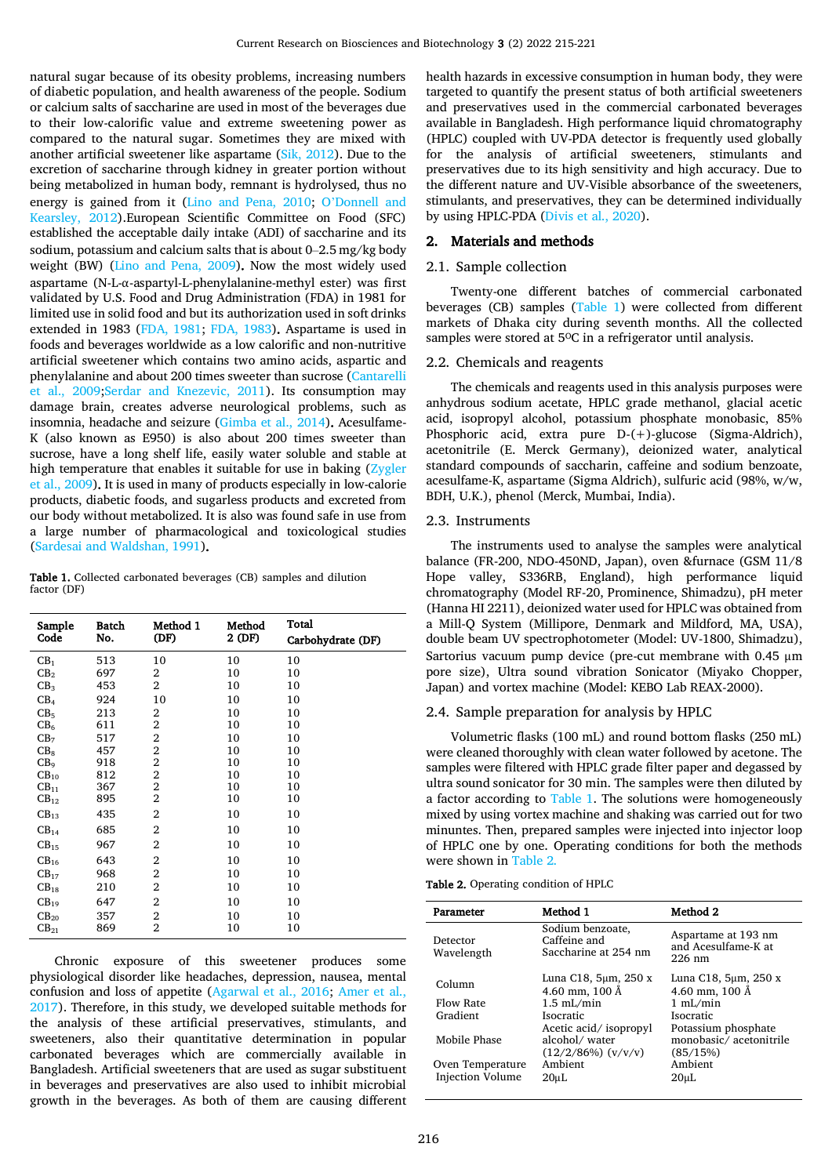natural sugar because of its obesity problems, increasing numbers of diabetic population, and health awareness of the people. Sodium or calcium salts of saccharine are used in most of the beverages due to their low-calorific value and extreme sweetening power as compared to the natural sugar. Sometimes they are mixed with another artificial sweetener like aspartame [\(Sik, 2012\)](#page-6-18). Due to the excretion of saccharine through kidney in greater portion without being metabolized in human body, remnant is hydrolysed, thus no energy is gained from it [\(Lino and Pena, 2010;](#page-6-19) O'[Donnell and](#page-6-20)  [Kearsley, 2012\)](#page-6-20).European Scientific Committee on Food (SFC) established the acceptable daily intake (ADI) of saccharine and its sodium, potassium and calcium salts that is about 0–2.5 mg/kg body weight (BW) [\(Lino and Pena, 2009\)](#page-6-21). Now the most widely used aspartame (N-L-α-aspartyl-L-phenylalanine-methyl ester) was first validated by U.S. Food and Drug Administration (FDA) in 1981 for limited use in solid food and but its authorization used in soft drinks extended in 1983 [\(FDA, 1981;](#page-6-22) [FDA, 1983\)](#page-6-23). Aspartame is used in foods and beverages worldwide as a low calorific and non-nutritive artificial sweetener which contains two amino acids, aspartic and phenylalanine and about 200 times sweeter than sucrose [\(Cantarelli](#page-6-24)  [et al., 2009](#page-6-24)[;Serdar and Knezevic, 2011\)](#page-6-25). Its consumption may damage brain, creates adverse neurological problems, such as insomnia, headache and seizure [\(Gimba et al., 2014\)](#page-6-26). Acesulfame-K (also known as E950) is also about 200 times sweeter than sucrose, have a long shelf life, easily water soluble and stable at high temperature that enables it suitable for use in baking (Zygler [et al., 2009\)](#page-6-27). It is used in many of products especially in low-calorie products, diabetic foods, and sugarless products and excreted from our body without metabolized. It is also was found safe in use from a large number of pharmacological and toxicological studies [\(Sardesai and Waldshan, 1991\)](#page-6-28).

<span id="page-1-0"></span>Table 1. Collected carbonated beverages (CB) samples and dilution factor (DF)

| Sample<br>Code   | <b>Batch</b><br>No. | Method 1<br>(DF)        | Method<br>2 (DF) | Total<br>Carbohydrate (DF) |
|------------------|---------------------|-------------------------|------------------|----------------------------|
| CB <sub>1</sub>  | 513                 | 10                      | 10               | 10                         |
| CB <sub>2</sub>  | 697                 | 2                       | 10               | 10                         |
| CB <sub>3</sub>  | 453                 | 2                       | 10               | 10                         |
| CB <sub>4</sub>  | 924                 | 10                      | 10               | 10                         |
| CB <sub>5</sub>  | 213                 | 2                       | 10               | 10                         |
| CB <sub>6</sub>  | 611                 | $\overline{2}$          | 10               | 10                         |
| CB <sub>7</sub>  | 517                 | 2                       | 10               | 10                         |
| CB <sub>8</sub>  | 457                 | $\overline{\mathbf{c}}$ | 10               | 10                         |
| CB <sub>9</sub>  | 918                 | $\overline{2}$          | 10               | 10                         |
| CB <sub>10</sub> | 812                 | $\overline{2}$          | 10               | 10                         |
| $CB_{11}$        | 367                 | $\overline{2}$          | 10               | 10                         |
| $CB_{12}$        | 895                 | 2                       | 10               | 10                         |
| $CB_{13}$        | 435                 | 2                       | 10               | 10                         |
| CB <sub>14</sub> | 685                 | 2                       | 10               | 10                         |
| $CB_{15}$        | 967                 | 2                       | 10               | 10                         |
| $CB_{16}$        | 643                 | 2                       | 10               | 10                         |
| $CB_{17}$        | 968                 | 2                       | 10               | 10                         |
| $CB_{18}$        | 210                 | 2                       | 10               | 10                         |
| CB <sub>19</sub> | 647                 | 2                       | 10               | 10                         |
| $CB_{20}$        | 357                 | 2                       | 10               | 10                         |
| $CB_{21}$        | 869                 | $\overline{2}$          | 10               | 10                         |

Chronic exposure of this sweetener produces some physiological disorder like headaches, depression, nausea, mental confusion and loss of appetite [\(Agarwal et al., 2016;](#page-5-0) [Amer et al.,](#page-6-29)  [2017\)](#page-6-29). Therefore, in this study, we developed suitable methods for the analysis of these artificial preservatives, stimulants, and sweeteners, also their quantitative determination in popular carbonated beverages which are commercially available in Bangladesh. Artificial sweeteners that are used as sugar substituent in beverages and preservatives are also used to inhibit microbial growth in the beverages. As both of them are causing different health hazards in excessive consumption in human body, they were targeted to quantify the present status of both artificial sweeteners and preservatives used in the commercial carbonated beverages available in Bangladesh. High performance liquid chromatography (HPLC) coupled with UV-PDA detector is frequently used globally for the analysis of artificial sweeteners, stimulants and preservatives due to its high sensitivity and high accuracy. Due to the different nature and UV-Visible absorbance of the sweeteners, stimulants, and preservatives, they can be determined individually by using HPLC-PDA [\(Divis et al., 2020\)](#page-6-30).

# 2. Materials and methods

## 2.1. Sample collection

Twenty-one different batches of commercial carbonated beverages (CB) samples [\(Table 1\)](#page-1-0) were collected from different markets of Dhaka city during seventh months. All the collected samples were stored at 5°C in a refrigerator until analysis.

#### 2.2. Chemicals and reagents

The chemicals and reagents used in this analysis purposes were anhydrous sodium acetate, HPLC grade methanol, glacial acetic acid, isopropyl alcohol, potassium phosphate monobasic, 85% Phosphoric acid, extra pure D-(+)-glucose (Sigma-Aldrich), acetonitrile (E. Merck Germany), deionized water, analytical standard compounds of saccharin, caffeine and sodium benzoate, acesulfame-K, aspartame (Sigma Aldrich), sulfuric acid (98%, w/w, BDH, U.K.), phenol (Merck, Mumbai, India).

#### 2.3. Instruments

The instruments used to analyse the samples were analytical balance (FR-200, NDO-450ND, Japan), oven &furnace (GSM 11/8 Hope valley, S336RB, England), high performance liquid chromatography (Model RF-20, Prominence, Shimadzu), pH meter (Hanna HI 2211), deionized water used for HPLC was obtained from a Mill-Q System (Millipore, Denmark and Mildford, MA, USA), double beam UV spectrophotometer (Model: UV-1800, Shimadzu), Sartorius vacuum pump device (pre-cut membrane with 0.45 µm pore size), Ultra sound vibration Sonicator (Miyako Chopper, Japan) and vortex machine (Model: KEBO Lab REAX-2000).

#### 2.4. Sample preparation for analysis by HPLC

Volumetric flasks (100 mL) and round bottom flasks (250 mL) were cleaned thoroughly with clean water followed by acetone. The samples were filtered with HPLC grade filter paper and degassed by ultra sound sonicator for 30 min. The samples were then diluted by a factor according to [Table 1.](#page-1-0) The solutions were homogeneously mixed by using vortex machine and shaking was carried out for two minuntes. Then, prepared samples were injected into injector loop of HPLC one by one. Operating conditions for both the methods were shown in [Table 2.](#page-1-1) 

<span id="page-1-1"></span>Table 2. Operating condition of HPLC

| Parameter                                   | Method 1                                                          | Method 2                                                  |  |  |
|---------------------------------------------|-------------------------------------------------------------------|-----------------------------------------------------------|--|--|
| Detector<br>Wavelength                      | Sodium benzoate,<br>Caffeine and<br>Saccharine at 254 nm          | Aspartame at 193 nm<br>and Acesulfame-K at<br>$226$ nm    |  |  |
| Column                                      | Luna C18, 5µm, 250 x<br>4.60 mm, $100 \text{ Å}$                  | Luna C18, 5µm, 250 x<br>4.60 mm, $100 \text{ Å}$          |  |  |
| Flow Rate                                   | $1.5$ mL/min                                                      | $1$ mL/min                                                |  |  |
| Gradient                                    | <b>Isocratic</b>                                                  | <b>Isocratic</b>                                          |  |  |
| Mobile Phase                                | Acetic acid/ isopropyl<br>alcohol/water<br>$(12/2/86%)$ $(v/v/v)$ | Potassium phosphate<br>monobasic/acetonitrile<br>(85/15%) |  |  |
| Oven Temperature<br><b>Injection Volume</b> | Ambient<br>$20 \mu L$                                             | Ambient<br>$20 \mu L$                                     |  |  |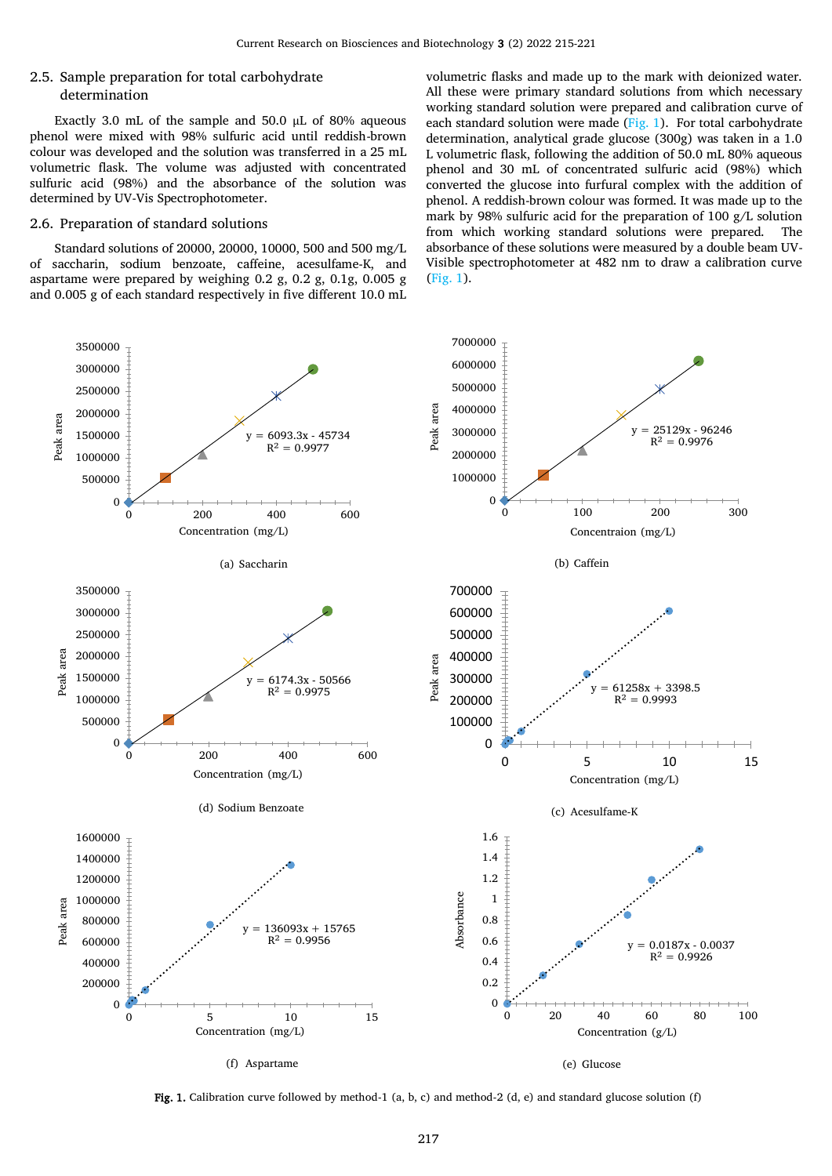## 2.5. Sample preparation for total carbohydrate determination

Exactly 3.0 mL of the sample and 50.0 µL of 80% aqueous phenol were mixed with 98% sulfuric acid until reddish-brown colour was developed and the solution was transferred in a 25 mL volumetric flask. The volume was adjusted with concentrated sulfuric acid (98%) and the absorbance of the solution was determined by UV-Vis Spectrophotometer.

## 2.6. Preparation of standard solutions

Standard solutions of 20000, 20000, 10000, 500 and 500 mg/L of saccharin, sodium benzoate, caffeine, acesulfame-K, and aspartame were prepared by weighing 0.2 g, 0.2 g, 0.1g, 0.005 g and 0.005 g of each standard respectively in five different 10.0 mL volumetric flasks and made up to the mark with deionized water. All these were primary standard solutions from which necessary working standard solution were prepared and calibration curve of each standard solution were made  $(Fig. 1)$  $(Fig. 1)$ . For total carbohydrate determination, analytical grade glucose (300g) was taken in a 1.0 L volumetric flask, following the addition of 50.0 mL 80% aqueous phenol and 30 mL of concentrated sulfuric acid (98%) which converted the glucose into furfural complex with the addition of phenol. A reddish-brown colour was formed. It was made up to the mark by 98% sulfuric acid for the preparation of 100 g/L solution from which working standard solutions were prepared. The absorbance of these solutions were measured by a double beam UV-Visible spectrophotometer at 482 nm to draw a calibration curve [\(Fig.](#page-2-0) 1).



<span id="page-2-0"></span>Fig. 1. Calibration curve followed by method-1 (a, b, c) and method-2 (d, e) and standard glucose solution (f)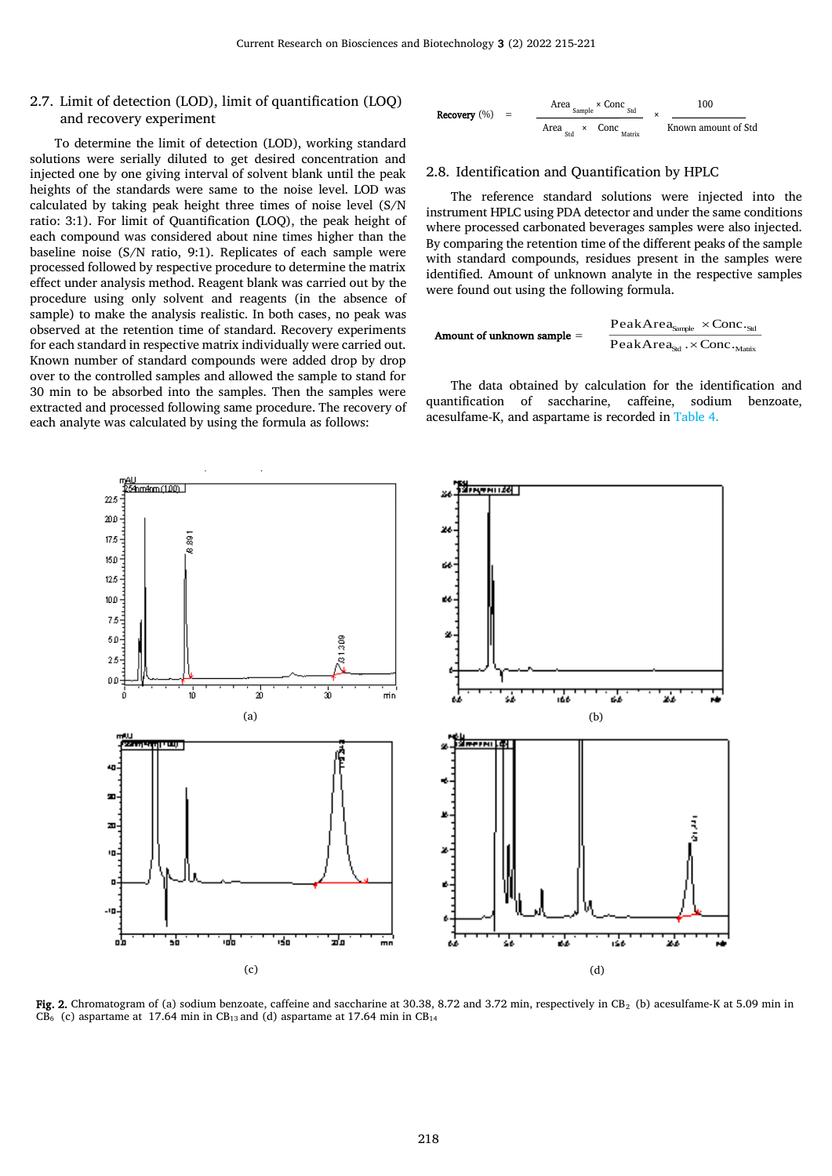# 2.7. Limit of detection (LOD), limit of quantification (LOQ) and recovery experiment

To determine the limit of detection (LOD), working standard solutions were serially diluted to get desired concentration and injected one by one giving interval of solvent blank until the peak heights of the standards were same to the noise level. LOD was calculated by taking peak height three times of noise level (S/N ratio: 3:1). For limit of Quantification (LOQ), the peak height of each compound was considered about nine times higher than the baseline noise (S/N ratio, 9:1). Replicates of each sample were processed followed by respective procedure to determine the matrix effect under analysis method. Reagent blank was carried out by the procedure using only solvent and reagents (in the absence of sample) to make the analysis realistic. In both cases, no peak was observed at the retention time of standard. Recovery experiments for each standard in respective matrix individually were carried out. Known number of standard compounds were added drop by drop over to the controlled samples and allowed the sample to stand for 30 min to be absorbed into the samples. Then the samples were extracted and processed following same procedure. The recovery of each analyte was calculated by using the formula as follows:

 Area Sample × Conc Std 100 Recovery (%) = <sup>×</sup> Area Std <sup>×</sup> Conc Matrix Known amount of Std

#### 2.8. Identification and Quantification by HPLC

The reference standard solutions were injected into the instrument HPLC using PDA detector and under the same conditions where processed carbonated beverages samples were also injected. By comparing the retention time of the different peaks of the sample with standard compounds, residues present in the samples were identified. Amount of unknown analyte in the respective samples were found out using the following formula.

| Amount of unknown sample =                                | $PeakArea_{\text{Sample}} \times \text{Conc.}_{\text{Sdd}}$ |
|-----------------------------------------------------------|-------------------------------------------------------------|
| PeakArea_{\text{Sdd}} \times \text{Conc.}_{\text{Matrix}} |                                                             |

The data obtained by calculation for the identification and quantification of saccharine, caffeine, sodium benzoate, acesulfame-K, and aspartame is recorded in [Table 4.](#page-5-1)



<span id="page-3-0"></span>Fig. 2. Chromatogram of (a) sodium benzoate, caffeine and saccharine at 30.38, 8.72 and 3.72 min, respectively in CB<sub>2</sub> (b) acesulfame-K at 5.09 min in  $CB<sub>6</sub>$  (c) aspartame at 17.64 min in CB<sub>13</sub> and (d) aspartame at 17.64 min in CB<sub>14</sub>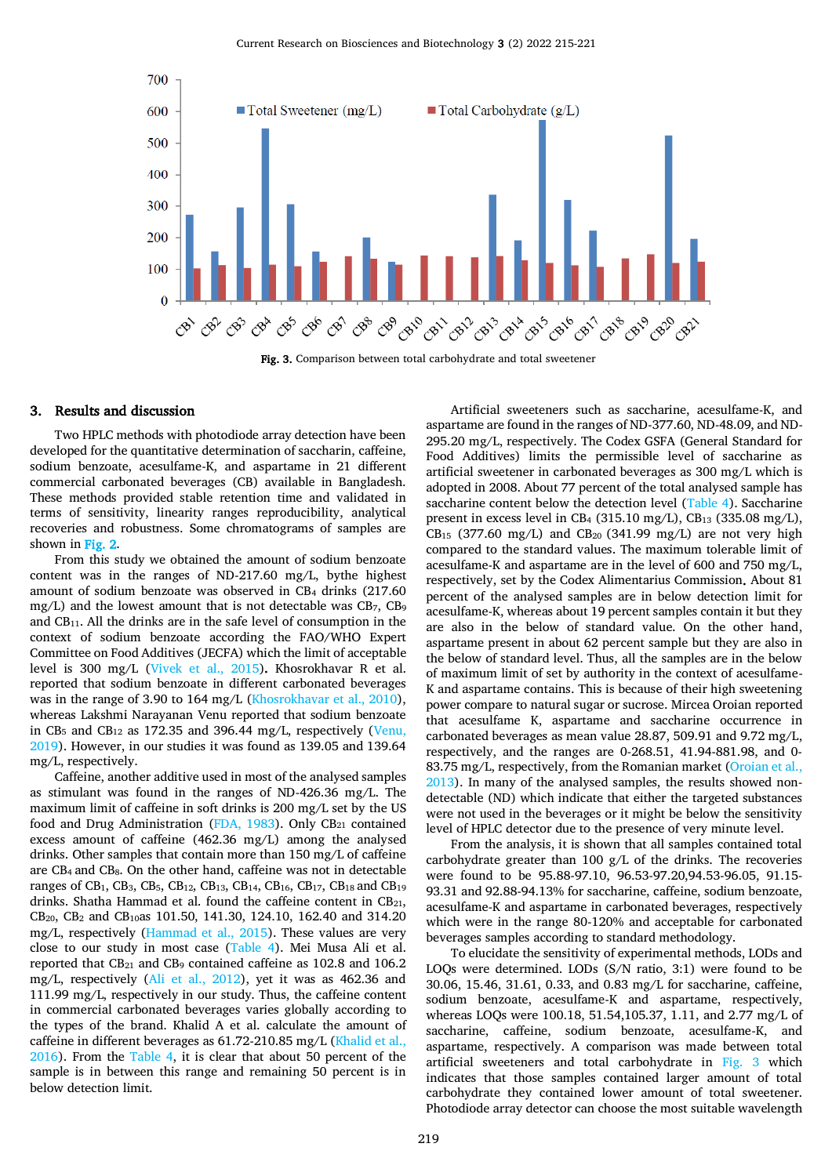

Fig. 3. Comparison between total carbohydrate and total sweetener

#### <span id="page-4-0"></span>3. Results and discussion

Two HPLC methods with photodiode array detection have been developed for the quantitative determination of saccharin, caffeine, sodium benzoate, acesulfame-K, and aspartame in 21 different commercial carbonated beverages (CB) available in Bangladesh. These methods provided stable retention time and validated in terms of sensitivity, linearity ranges reproducibility, analytical recoveries and robustness. Some chromatograms of samples are shown i[n Fig. 2.](#page-3-0)

From this study we obtained the amount of sodium benzoate content was in the ranges of ND-217.60 mg/L, bythe highest amount of sodium benzoate was observed in CB<sup>4</sup> drinks (217.60 mg/L) and the lowest amount that is not detectable was CB7, CB<sup>9</sup> and CB11. All the drinks are in the safe level of consumption in the context of sodium benzoate according the FAO/WHO Expert Committee on Food Additives (JECFA) which the limit of acceptable level is 300 mg/L [\(Vivek et al., 2015\)](#page-6-31). Khosrokhavar R et al. reported that sodium benzoate in different carbonated beverages was in the range of 3.90 to 164 mg/L [\(Khosrokhavar et al., 2010\)](#page-6-8), whereas Lakshmi Narayanan Venu reported that sodium benzoate in CB<sub>5</sub> and CB<sub>12</sub> as 172.35 and 396.44 mg/L, respectively (Venu, [2019\)](#page-6-32). However, in our studies it was found as 139.05 and 139.64 mg/L, respectively.

Caffeine, another additive used in most of the analysed samples as stimulant was found in the ranges of ND-426.36 mg/L. The maximum limit of caffeine in soft drinks is 200 mg/L set by the US food and Drug Administration [\(FDA, 1983\)](#page-6-23). Only  $CB_{21}$  contained excess amount of caffeine (462.36 mg/L) among the analysed drinks. Other samples that contain more than 150 mg/L of caffeine are CB4 and CB8. On the other hand, caffeine was not in detectable ranges of CB<sub>1</sub>, CB<sub>3</sub>, CB<sub>5</sub>, CB<sub>12</sub>, CB<sub>13</sub>, CB<sub>14</sub>, CB<sub>16</sub>, CB<sub>17</sub>, CB<sub>18</sub> and CB<sub>19</sub> drinks. Shatha Hammad et al. found the caffeine content in  $CB_{21}$ , CB20, CB<sup>2</sup> and CB10as 101.50, 141.30, 124.10, 162.40 and 314.20 mg/L, respectively [\(Hammad et al., 2015\)](#page-6-33). These values are very close to our study in most case [\(Table 4\)](#page-5-1). Mei Musa Ali et al. reported that CB<sub>21</sub> and CB<sub>9</sub> contained caffeine as 102.8 and 106.2 mg/L, respectively [\(Ali et al., 2012\)](#page-6-34), yet it was as 462.36 and 111.99 mg/L, respectively in our study. Thus, the caffeine content in commercial carbonated beverages varies globally according to the types of the brand. Khalid A et al. calculate the amount of caffeine in different beverages as 61.72-210.85 mg/L [\(Khalid et al.,](#page-6-35)  [2016\)](#page-6-35). From the [Table 4,](#page-5-1) it is clear that about 50 percent of the sample is in between this range and remaining 50 percent is in below detection limit.

Artificial sweeteners such as saccharine, acesulfame-K, and aspartame are found in the ranges of ND-377.60, ND-48.09, and ND-295.20 mg/L, respectively. The Codex GSFA (General Standard for Food Additives) limits the permissible level of saccharine as artificial sweetener in carbonated beverages as 300 mg/L which is adopted in 2008. About 77 percent of the total analysed sample has saccharine content below the detection level [\(Table 4\)](#page-5-1). Saccharine present in excess level in CB<sub>4</sub> (315.10 mg/L), CB<sub>13</sub> (335.08 mg/L), CB<sub>15</sub> (377.60 mg/L) and CB<sub>20</sub> (341.99 mg/L) are not very high compared to the standard values. The maximum tolerable limit of acesulfame-K and aspartame are in the level of 600 and 750 mg/L, respectively, set by the Codex Alimentarius Commission. About 81 percent of the analysed samples are in below detection limit for acesulfame-K, whereas about 19 percent samples contain it but they are also in the below of standard value. On the other hand, aspartame present in about 62 percent sample but they are also in the below of standard level. Thus, all the samples are in the below of maximum limit of set by authority in the context of acesulfame-K and aspartame contains. This is because of their high sweetening power compare to natural sugar or sucrose. Mircea Oroian reported that acesulfame K, aspartame and saccharine occurrence in carbonated beverages as mean value 28.87, 509.91 and 9.72 mg/L, respectively, and the ranges are 0-268.51, 41.94-881.98, and 0- 83.75 mg/L, respectively, from the Romanian market [\(Oroian et al.,](#page-6-36)  [2013\)](#page-6-36). In many of the analysed samples, the results showed nondetectable (ND) which indicate that either the targeted substances were not used in the beverages or it might be below the sensitivity level of HPLC detector due to the presence of very minute level.

From the analysis, it is shown that all samples contained total carbohydrate greater than 100 g/L of the drinks. The recoveries were found to be 95.88-97.10, 96.53-97.20,94.53-96.05, 91.15- 93.31 and 92.88-94.13% for saccharine, caffeine, sodium benzoate, acesulfame-K and aspartame in carbonated beverages, respectively which were in the range 80-120% and acceptable for carbonated beverages samples according to standard methodology.

To elucidate the sensitivity of experimental methods, LODs and LOQs were determined. LODs (S/N ratio, 3:1) were found to be 30.06, 15.46, 31.61, 0.33, and 0.83 mg/L for saccharine, caffeine, sodium benzoate, acesulfame-K and aspartame, respectively, whereas LOQs were 100.18, 51.54,105.37, 1.11, and 2.77 mg/L of saccharine, caffeine, sodium benzoate, acesulfame-K, and aspartame, respectively. A comparison was made between total artificial sweeteners and total carbohydrate in [Fig.](#page-4-0) 3 which indicates that those samples contained larger amount of total carbohydrate they contained lower amount of total sweetener. Photodiode array detector can choose the most suitable wavelength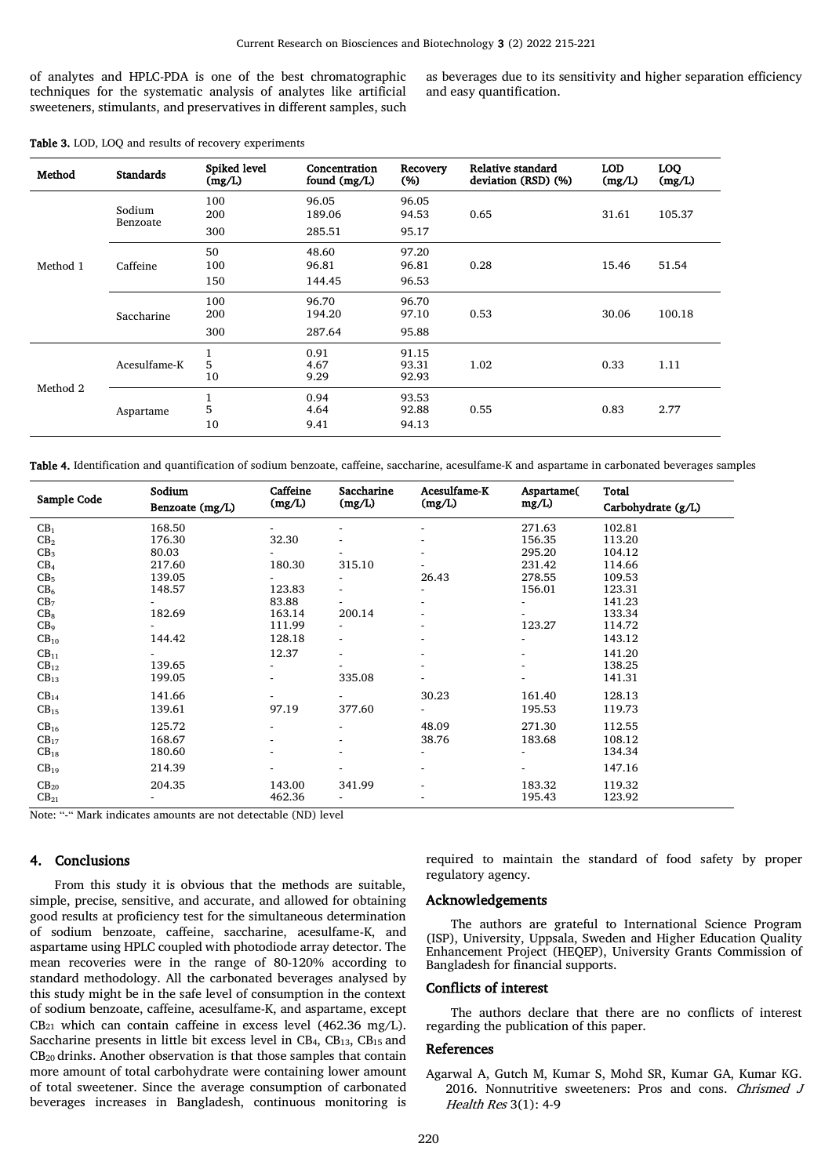of analytes and HPLC-PDA is one of the best chromatographic techniques for the systematic analysis of analytes like artificial sweeteners, stimulants, and preservatives in different samples, such as beverages due to its sensitivity and higher separation efficiency and easy quantification.

| Method   | <b>Standards</b>   | Spiked level<br>(mg/L) | Concentration<br>found (mg/L) | Recovery<br>(% )        | Relative standard<br>deviation (RSD) (%) | <b>LOD</b><br>(mg/L) | <b>LOQ</b><br>(mg/L) |
|----------|--------------------|------------------------|-------------------------------|-------------------------|------------------------------------------|----------------------|----------------------|
| Method 1 | Sodium<br>Benzoate | 100<br>200             | 96.05<br>189.06               | 96.05<br>94.53          | 0.65                                     | 31.61                | 105.37               |
|          |                    | 300                    | 285.51                        | 95.17                   |                                          |                      |                      |
|          | Caffeine           | 50<br>100              | 48.60<br>96.81                | 97.20<br>96.81          | 0.28                                     | 15.46                | 51.54                |
|          |                    | 150                    | 144.45                        | 96.53                   |                                          |                      |                      |
|          | Saccharine         | 100<br>200             | 96.70<br>194.20               | 96.70<br>97.10          | 0.53                                     | 30.06                | 100.18               |
|          |                    | 300                    | 287.64                        | 95.88                   |                                          |                      |                      |
| Method 2 | Acesulfame-K       | 5<br>10                | 0.91<br>4.67<br>9.29          | 91.15<br>93.31<br>92.93 | 1.02                                     | 0.33                 | 1.11                 |
|          | Aspartame          | 5<br>10                | 0.94<br>4.64<br>9.41          | 93.53<br>92.88<br>94.13 | 0.55                                     | 0.83                 | 2.77                 |

<span id="page-5-1"></span>Table 4. Identification and quantification of sodium benzoate, caffeine, saccharine, acesulfame-K and aspartame in carbonated beverages samples

| Sample Code      | Sodium<br>Benzoate (mg/L) | Caffeine<br>(mg/L) | Saccharine<br>(mg/L)     | Acesulfame-K<br>(mg/L) | Aspartame(<br>mg/L | Total<br>Carbohydrate (g/L) |
|------------------|---------------------------|--------------------|--------------------------|------------------------|--------------------|-----------------------------|
| CB <sub>1</sub>  | 168.50                    |                    |                          |                        | 271.63             | 102.81                      |
| CB <sub>2</sub>  | 176.30                    | 32.30              |                          |                        | 156.35             | 113.20                      |
| CB <sub>3</sub>  | 80.03                     |                    |                          |                        | 295.20             | 104.12                      |
| CB <sub>4</sub>  | 217.60                    | 180.30             | 315.10                   |                        | 231.42             | 114.66                      |
| CB <sub>5</sub>  | 139.05                    |                    |                          | 26.43                  | 278.55             | 109.53                      |
| CB <sub>6</sub>  | 148.57                    | 123.83             |                          |                        | 156.01             | 123.31                      |
| CB <sub>7</sub>  |                           | 83.88              |                          |                        |                    | 141.23                      |
| CB <sub>8</sub>  | 182.69                    | 163.14             | 200.14                   |                        |                    | 133.34                      |
| CB <sub>9</sub>  |                           | 111.99             |                          |                        | 123.27             | 114.72                      |
| $CB_{10}$        | 144.42                    | 128.18             |                          |                        |                    | 143.12                      |
| $CB_{11}$        | $\overline{\phantom{0}}$  | 12.37              |                          |                        |                    | 141.20                      |
| $CB_{12}$        | 139.65                    |                    |                          |                        |                    | 138.25                      |
| $CB_{13}$        | 199.05                    |                    | 335.08                   |                        |                    | 141.31                      |
| CB <sub>14</sub> | 141.66                    |                    |                          | 30.23                  | 161.40             | 128.13                      |
| $CB_{15}$        | 139.61                    | 97.19              | 377.60                   |                        | 195.53             | 119.73                      |
| CB <sub>16</sub> | 125.72                    |                    |                          | 48.09                  | 271.30             | 112.55                      |
| $CB_{17}$        | 168.67                    |                    |                          | 38.76                  | 183.68             | 108.12                      |
| $CB_{18}$        | 180.60                    |                    |                          |                        |                    | 134.34                      |
| CB <sub>19</sub> | 214.39                    |                    |                          |                        |                    | 147.16                      |
| $CB_{20}$        | 204.35                    | 143.00             | 341.99                   |                        | 183.32             | 119.32                      |
| $CB_{21}$        | $\overline{\phantom{0}}$  | 462.36             | $\overline{\phantom{0}}$ |                        | 195.43             | 123.92                      |

Note: "-" Mark indicates amounts are not detectable (ND) level

## 4. Conclusions

From this study it is obvious that the methods are suitable, simple, precise, sensitive, and accurate, and allowed for obtaining good results at proficiency test for the simultaneous determination of sodium benzoate, caffeine, saccharine, acesulfame-K, and aspartame using HPLC coupled with photodiode array detector. The mean recoveries were in the range of 80-120% according to standard methodology. All the carbonated beverages analysed by this study might be in the safe level of consumption in the context of sodium benzoate, caffeine, acesulfame-K, and aspartame, except  $CB<sub>21</sub>$  which can contain caffeine in excess level (462.36 mg/L). Saccharine presents in little bit excess level in CB4, CB13, CB15 and CB20 drinks. Another observation is that those samples that contain more amount of total carbohydrate were containing lower amount of total sweetener. Since the average consumption of carbonated beverages increases in Bangladesh, continuous monitoring is required to maintain the standard of food safety by proper regulatory agency.

## Acknowledgements

The authors are grateful to International Science Program (ISP), University, Uppsala, Sweden and Higher Education Quality Enhancement Project (HEQEP), University Grants Commission of Bangladesh for financial supports.

## Conflicts of interest

The authors declare that there are no conflicts of interest regarding the publication of this paper.

## References

<span id="page-5-0"></span>Agarwal A, Gutch M, Kumar S, Mohd SR, Kumar GA, Kumar KG. 2016. Nonnutritive sweeteners: Pros and cons. Chrismed J Health Res 3(1): 4-9